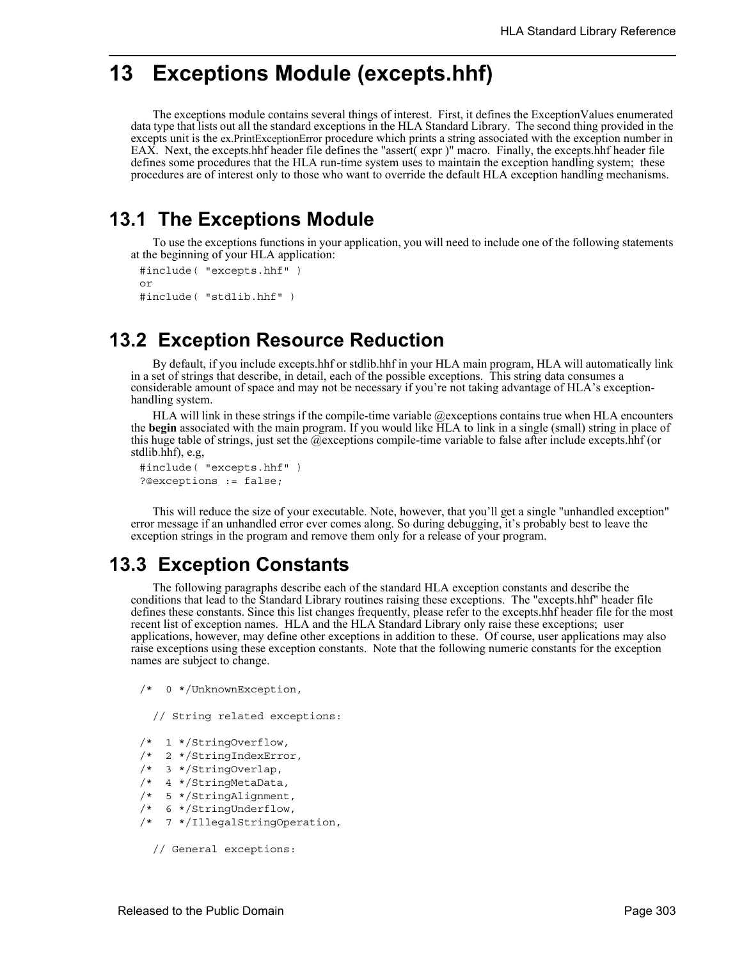# **13 Exceptions Module (excepts.hhf)**

The exceptions module contains several things of interest. First, it defines the ExceptionValues enumerated data type that lists out all the standard exceptions in the HLA Standard Library. The second thing provided in the excepts unit is the ex.PrintExceptionError procedure which prints a string associated with the exception number in EAX. Next, the excepts.hhf header file defines the "assert( expr )" macro. Finally, the excepts.hhf header file defines some procedures that the HLA run-time system uses to maintain the exception handling system; these procedures are of interest only to those who want to override the default HLA exception handling mechanisms.

## **13.1 The Exceptions Module**

To use the exceptions functions in your application, you will need to include one of the following statements at the beginning of your HLA application:

```
#include( "excepts.hhf" )
or
#include( "stdlib.hhf" )
```
## **13.2 Exception Resource Reduction**

By default, if you include excepts.hhf or stdlib.hhf in your HLA main program, HLA will automatically link in a set of strings that describe, in detail, each of the possible exceptions. This string data consumes a considerable amount of space and may not be necessary if you're not taking advantage of HLA's exceptionhandling system.

HLA will link in these strings if the compile-time variable  $@$  exceptions contains true when HLA encounters the **begin** associated with the main program. If you would like HLA to link in a single (small) string in place of this huge table of strings, just set the @exceptions compile-time variable to false after include excepts.hhf (or stdlib.hhf), e.g,

```
#include( "excepts.hhf" )
?@exceptions := false;
```
This will reduce the size of your executable. Note, however, that you'll get a single "unhandled exception" error message if an unhandled error ever comes along. So during debugging, it's probably best to leave the exception strings in the program and remove them only for a release of your program.

## **13.3 Exception Constants**

The following paragraphs describe each of the standard HLA exception constants and describe the conditions that lead to the Standard Library routines raising these exceptions. The "excepts.hhf" header file defines these constants. Since this list changes frequently, please refer to the excepts.hhf header file for the most recent list of exception names. HLA and the HLA Standard Library only raise these exceptions; user applications, however, may define other exceptions in addition to these. Of course, user applications may also raise exceptions using these exception constants. Note that the following numeric constants for the exception names are subject to change.

```
/* 0 */UnknownException,
```
// String related exceptions:

- /\* 1 \*/StringOverflow,
- /\* 2 \*/StringIndexError,
- /\* 3 \*/StringOverlap,
- /\* 4 \*/StringMetaData,
- /\* 5 \*/StringAlignment,
- /\* 6 \*/StringUnderflow,
- /\* 7 \*/IllegalStringOperation,

```
// General exceptions:
```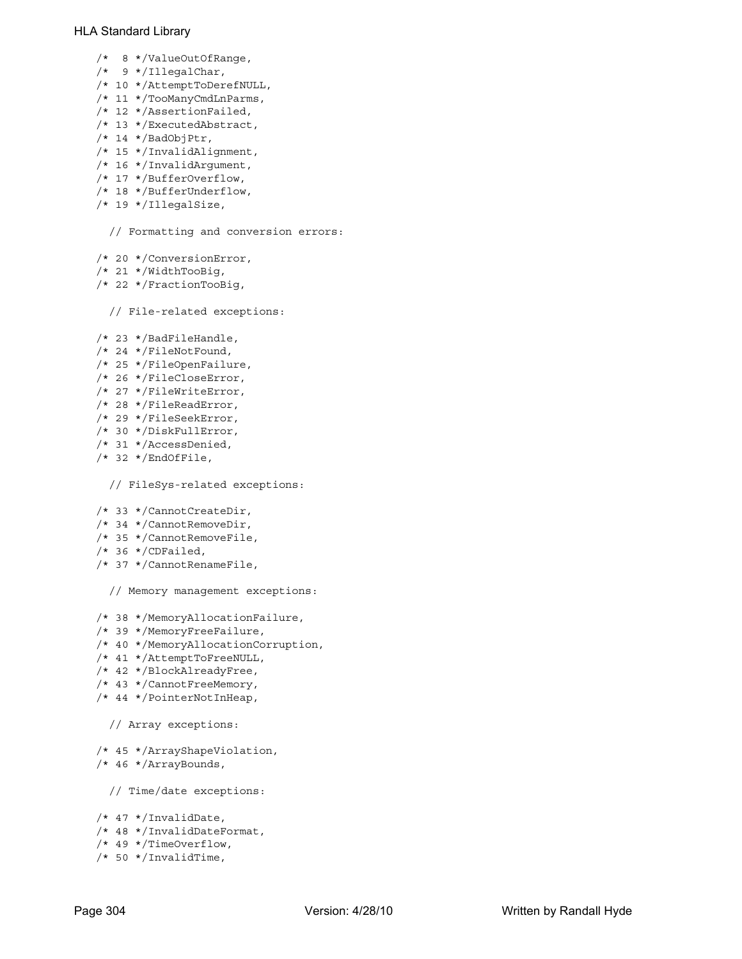- /\* 8 \*/ValueOutOfRange,
- /\* 9 \*/IllegalChar,
- /\* 10 \*/AttemptToDerefNULL,
- /\* 11 \*/TooManyCmdLnParms,
- /\* 12 \*/AssertionFailed,
- /\* 13 \*/ExecutedAbstract,
- /\* 14 \*/BadObjPtr,
- /\* 15 \*/InvalidAlignment,
- /\* 16 \*/InvalidArgument,
- /\* 17 \*/BufferOverflow,
- /\* 18 \*/BufferUnderflow,
- /\* 19 \*/IllegalSize,

// Formatting and conversion errors:

- /\* 20 \*/ConversionError,
- /\* 21 \*/WidthTooBig,
- /\* 22 \*/FractionTooBig,

```
// File-related exceptions:
```
- /\* 23 \*/BadFileHandle,
- /\* 24 \*/FileNotFound,
- /\* 25 \*/FileOpenFailure,
- /\* 26 \*/FileCloseError,
- /\* 27 \*/FileWriteError,
- /\* 28 \*/FileReadError,
- /\* 29 \*/FileSeekError,
- /\* 30 \*/DiskFullError,
- /\* 31 \*/AccessDenied,
- /\* 32 \*/EndOfFile,

// FileSys-related exceptions:

- /\* 33 \*/CannotCreateDir,
- /\* 34 \*/CannotRemoveDir,
- /\* 35 \*/CannotRemoveFile,
- /\* 36 \*/CDFailed,
- /\* 37 \*/CannotRenameFile,

// Memory management exceptions:

- /\* 38 \*/MemoryAllocationFailure,
- /\* 39 \*/MemoryFreeFailure,
- /\* 40 \*/MemoryAllocationCorruption,
- /\* 41 \*/AttemptToFreeNULL,
- /\* 42 \*/BlockAlreadyFree,
- /\* 43 \*/CannotFreeMemory,
- /\* 44 \*/PointerNotInHeap,

```
// Array exceptions:
```

```
/* 45 */ArrayShapeViolation,
/* 46 */ArrayBounds,
```
// Time/date exceptions:

- /\* 47 \*/InvalidDate,
- /\* 48 \*/InvalidDateFormat,
- /\* 49 \*/TimeOverflow,
- /\* 50 \*/InvalidTime,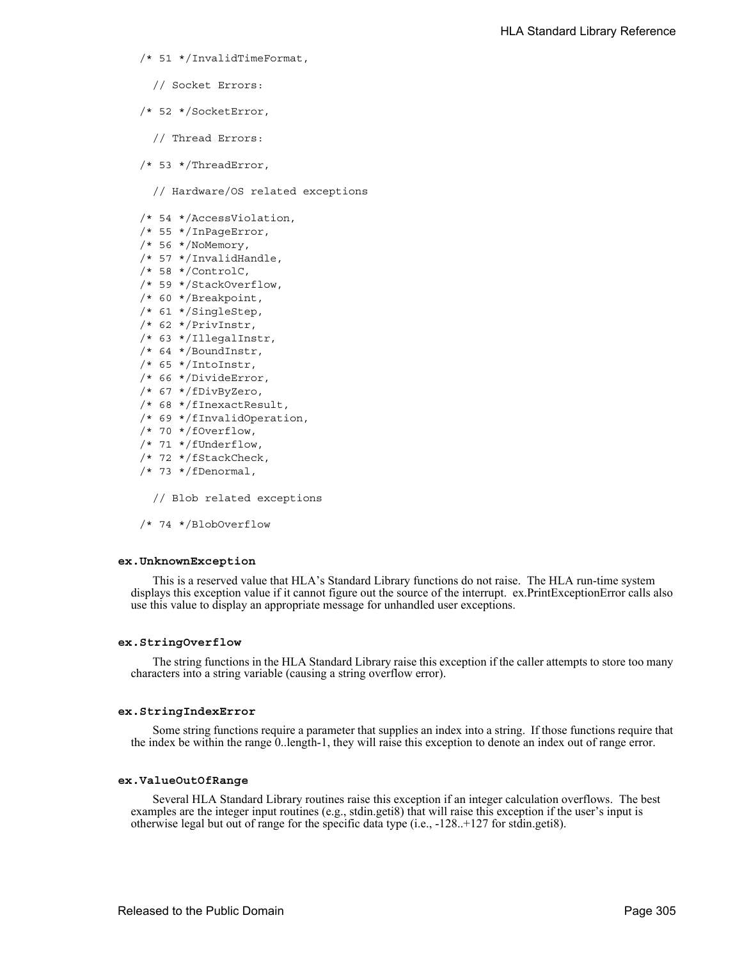- /\* 51 \*/InvalidTimeFormat,
	- // Socket Errors:
- /\* 52 \*/SocketError,
	- // Thread Errors:
- /\* 53 \*/ThreadError,

// Hardware/OS related exceptions

- /\* 54 \*/AccessViolation,
- /\* 55 \*/InPageError,
- /\* 56 \*/NoMemory,
- /\* 57 \*/InvalidHandle,
- /\* 58 \*/ControlC,
- /\* 59 \*/StackOverflow,
- /\* 60 \*/Breakpoint,
- /\* 61 \*/SingleStep,
- /\* 62 \*/PrivInstr,
- /\* 63 \*/IllegalInstr,
- /\* 64 \*/BoundInstr,
- /\* 65 \*/IntoInstr,
- /\* 66 \*/DivideError,
- /\* 67 \*/fDivByZero,
- /\* 68 \*/fInexactResult,
- /\* 69 \*/fInvalidOperation,
- /\* 70 \*/fOverflow,
- /\* 71 \*/fUnderflow,
- /\* 72 \*/fStackCheck,
- /\* 73 \*/fDenormal,
	- // Blob related exceptions
- /\* 74 \*/BlobOverflow

#### **ex.UnknownException**

This is a reserved value that HLA's Standard Library functions do not raise. The HLA run-time system displays this exception value if it cannot figure out the source of the interrupt. ex.PrintExceptionError calls also use this value to display an appropriate message for unhandled user exceptions.

#### **ex.StringOverflow**

The string functions in the HLA Standard Library raise this exception if the caller attempts to store too many characters into a string variable (causing a string overflow error).

#### **ex.StringIndexError**

Some string functions require a parameter that supplies an index into a string. If those functions require that the index be within the range 0..length-1, they will raise this exception to denote an index out of range error.

#### **ex.ValueOutOfRange**

Several HLA Standard Library routines raise this exception if an integer calculation overflows. The best examples are the integer input routines (e.g., stdin.geti8) that will raise this exception if the user's input is otherwise legal but out of range for the specific data type (i.e., -128..+127 for stdin.geti8).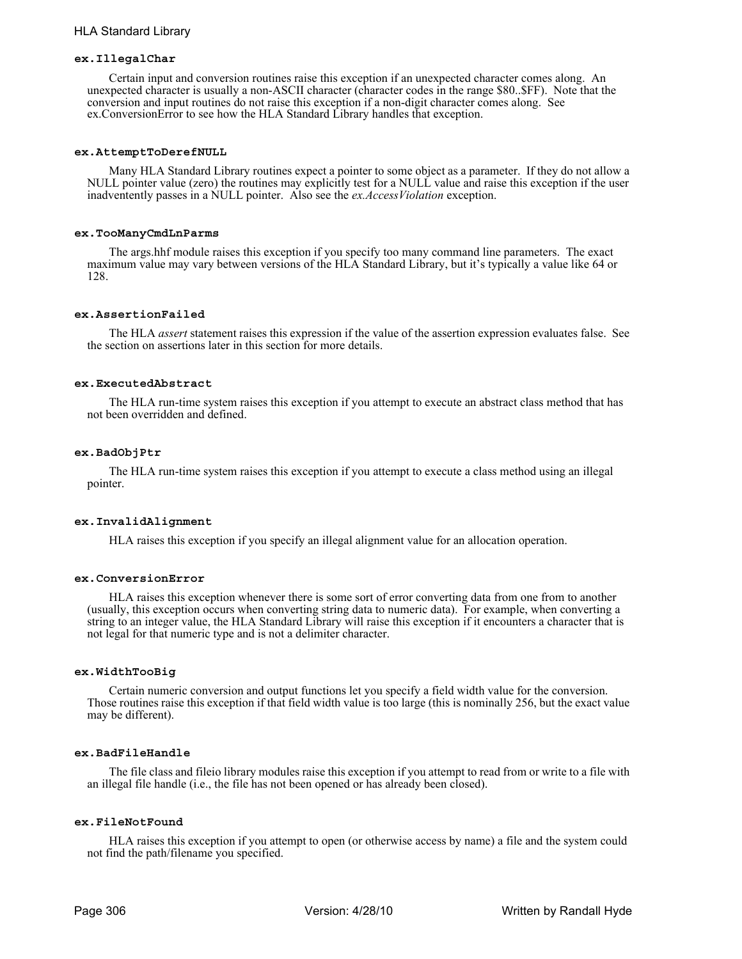## **ex.IllegalChar**

Certain input and conversion routines raise this exception if an unexpected character comes along. An unexpected character is usually a non-ASCII character (character codes in the range \$80..\$FF). Note that the conversion and input routines do not raise this exception if a non-digit character comes along. See ex.ConversionError to see how the HLA Standard Library handles that exception.

#### **ex.AttemptToDerefNULL**

Many HLA Standard Library routines expect a pointer to some object as a parameter. If they do not allow a NULL pointer value (zero) the routines may explicitly test for a NULL value and raise this exception if the user inadventently passes in a NULL pointer. Also see the *ex.AccessViolation* exception.

#### **ex.TooManyCmdLnParms**

The args.hhf module raises this exception if you specify too many command line parameters. The exact maximum value may vary between versions of the HLA Standard Library, but it's typically a value like 64 or 128.

## **ex.AssertionFailed**

The HLA *assert* statement raises this expression if the value of the assertion expression evaluates false. See the section on assertions later in this section for more details.

#### **ex.ExecutedAbstract**

The HLA run-time system raises this exception if you attempt to execute an abstract class method that has not been overridden and defined.

#### **ex.BadObjPtr**

The HLA run-time system raises this exception if you attempt to execute a class method using an illegal pointer.

#### **ex.InvalidAlignment**

HLA raises this exception if you specify an illegal alignment value for an allocation operation.

#### **ex.ConversionError**

HLA raises this exception whenever there is some sort of error converting data from one from to another (usually, this exception occurs when converting string data to numeric data). For example, when converting a string to an integer value, the HLA Standard Library will raise this exception if it encounters a character that is not legal for that numeric type and is not a delimiter character.

## **ex.WidthTooBig**

Certain numeric conversion and output functions let you specify a field width value for the conversion. Those routines raise this exception if that field width value is too large (this is nominally 256, but the exact value may be different).

## **ex.BadFileHandle**

The file class and fileio library modules raise this exception if you attempt to read from or write to a file with an illegal file handle (i.e., the file has not been opened or has already been closed).

### **ex.FileNotFound**

HLA raises this exception if you attempt to open (or otherwise access by name) a file and the system could not find the path/filename you specified.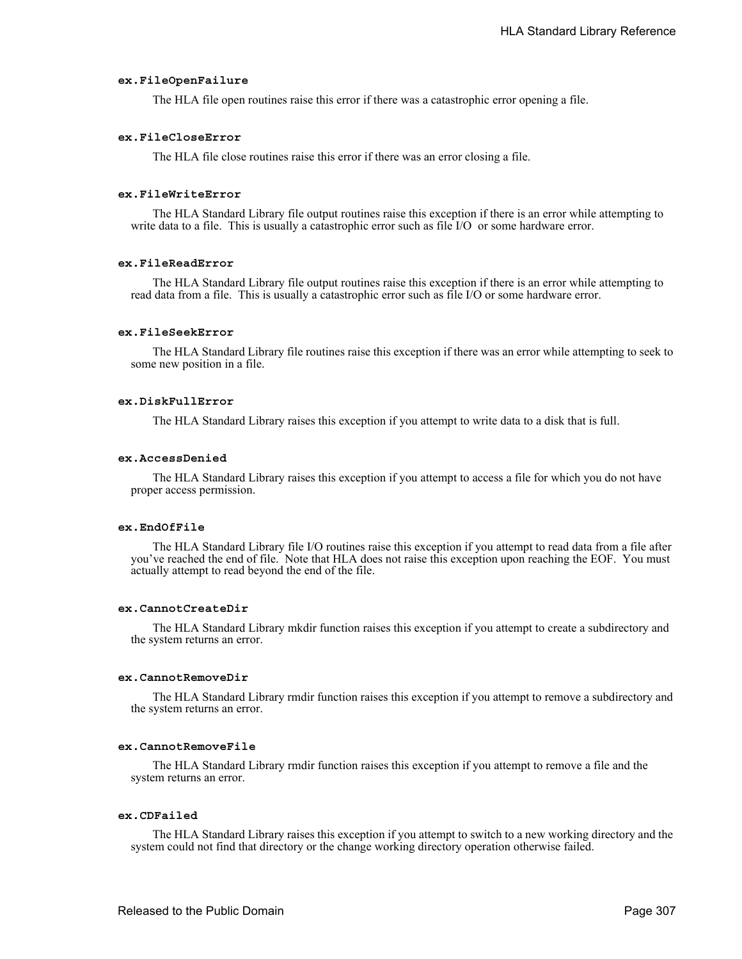## **ex.FileOpenFailure**

The HLA file open routines raise this error if there was a catastrophic error opening a file.

## **ex.FileCloseError**

The HLA file close routines raise this error if there was an error closing a file.

#### **ex.FileWriteError**

The HLA Standard Library file output routines raise this exception if there is an error while attempting to write data to a file. This is usually a catastrophic error such as file I/O or some hardware error.

## **ex.FileReadError**

The HLA Standard Library file output routines raise this exception if there is an error while attempting to read data from a file. This is usually a catastrophic error such as file I/O or some hardware error.

## **ex.FileSeekError**

The HLA Standard Library file routines raise this exception if there was an error while attempting to seek to some new position in a file.

## **ex.DiskFullError**

The HLA Standard Library raises this exception if you attempt to write data to a disk that is full.

#### **ex.AccessDenied**

The HLA Standard Library raises this exception if you attempt to access a file for which you do not have proper access permission.

## **ex.EndOfFile**

The HLA Standard Library file I/O routines raise this exception if you attempt to read data from a file after you've reached the end of file. Note that HLA does not raise this exception upon reaching the EOF. You must actually attempt to read beyond the end of the file.

## **ex.CannotCreateDir**

The HLA Standard Library mkdir function raises this exception if you attempt to create a subdirectory and the system returns an error.

## **ex.CannotRemoveDir**

The HLA Standard Library rmdir function raises this exception if you attempt to remove a subdirectory and the system returns an error.

## **ex.CannotRemoveFile**

The HLA Standard Library rmdir function raises this exception if you attempt to remove a file and the system returns an error.

#### **ex.CDFailed**

The HLA Standard Library raises this exception if you attempt to switch to a new working directory and the system could not find that directory or the change working directory operation otherwise failed.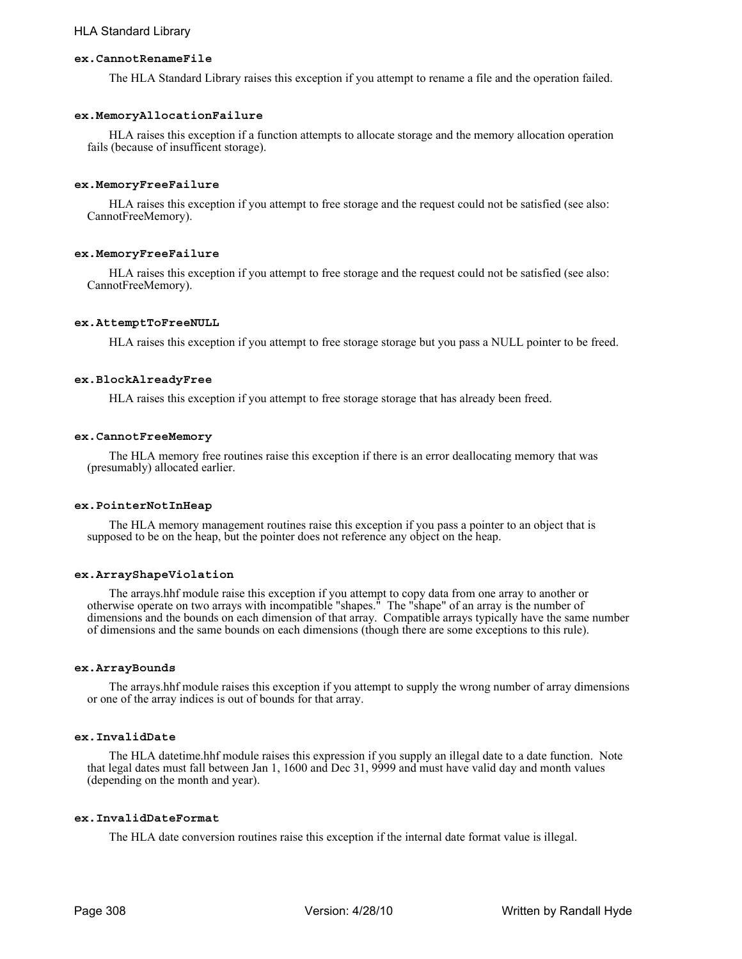## **ex.CannotRenameFile**

The HLA Standard Library raises this exception if you attempt to rename a file and the operation failed.

## **ex.MemoryAllocationFailure**

HLA raises this exception if a function attempts to allocate storage and the memory allocation operation fails (because of insufficent storage).

### **ex.MemoryFreeFailure**

HLA raises this exception if you attempt to free storage and the request could not be satisfied (see also: CannotFreeMemory).

#### **ex.MemoryFreeFailure**

HLA raises this exception if you attempt to free storage and the request could not be satisfied (see also: CannotFreeMemory).

## **ex.AttemptToFreeNULL**

HLA raises this exception if you attempt to free storage storage but you pass a NULL pointer to be freed.

## **ex.BlockAlreadyFree**

HLA raises this exception if you attempt to free storage storage that has already been freed.

#### **ex.CannotFreeMemory**

The HLA memory free routines raise this exception if there is an error deallocating memory that was (presumably) allocated earlier.

#### **ex.PointerNotInHeap**

The HLA memory management routines raise this exception if you pass a pointer to an object that is supposed to be on the heap, but the pointer does not reference any object on the heap.

#### **ex.ArrayShapeViolation**

The arrays.hhf module raise this exception if you attempt to copy data from one array to another or otherwise operate on two arrays with incompatible "shapes." The "shape" of an array is the number of dimensions and the bounds on each dimension of that array. Compatible arrays typically have the same number of dimensions and the same bounds on each dimensions (though there are some exceptions to this rule).

#### **ex.ArrayBounds**

The arrays.hhf module raises this exception if you attempt to supply the wrong number of array dimensions or one of the array indices is out of bounds for that array.

## **ex.InvalidDate**

The HLA datetime.hhf module raises this expression if you supply an illegal date to a date function. Note that legal dates must fall between Jan 1, 1600 and Dec 31, 9999 and must have valid day and month values (depending on the month and year).

## **ex.InvalidDateFormat**

The HLA date conversion routines raise this exception if the internal date format value is illegal.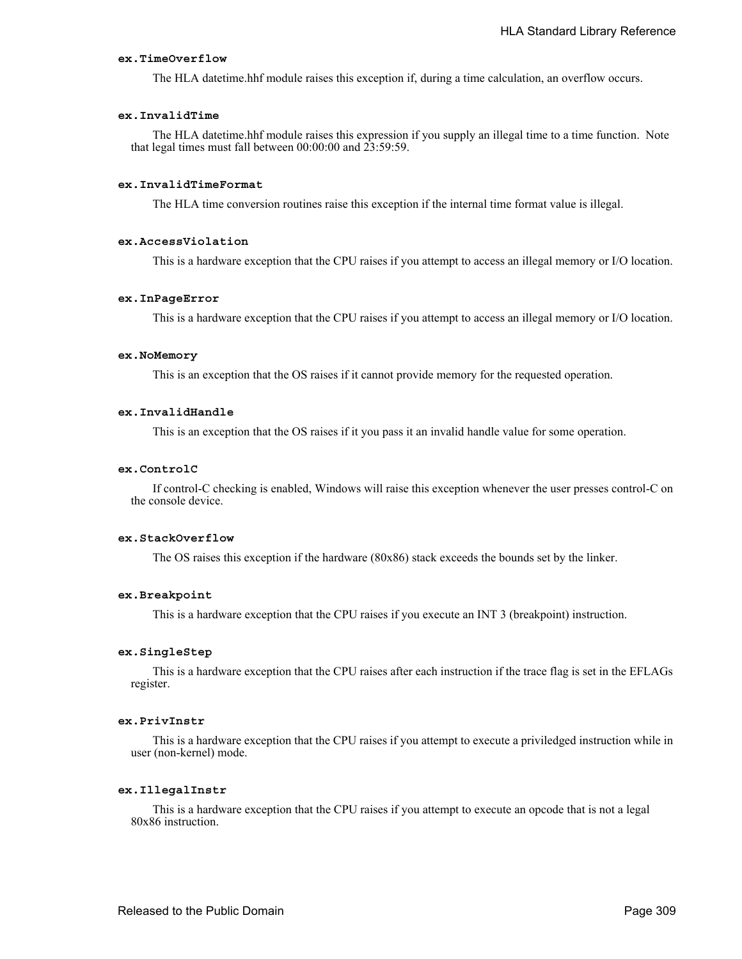## **ex.TimeOverflow**

The HLA datetime.hhf module raises this exception if, during a time calculation, an overflow occurs.

## **ex.InvalidTime**

The HLA datetime.hhf module raises this expression if you supply an illegal time to a time function. Note that legal times must fall between 00:00:00 and 23:59:59.

## **ex.InvalidTimeFormat**

The HLA time conversion routines raise this exception if the internal time format value is illegal.

## **ex.AccessViolation**

This is a hardware exception that the CPU raises if you attempt to access an illegal memory or I/O location.

## **ex.InPageError**

This is a hardware exception that the CPU raises if you attempt to access an illegal memory or I/O location.

## **ex.NoMemory**

This is an exception that the OS raises if it cannot provide memory for the requested operation.

## **ex.InvalidHandle**

This is an exception that the OS raises if it you pass it an invalid handle value for some operation.

## **ex.ControlC**

If control-C checking is enabled, Windows will raise this exception whenever the user presses control-C on the console device.

### **ex.StackOverflow**

The OS raises this exception if the hardware (80x86) stack exceeds the bounds set by the linker.

## **ex.Breakpoint**

This is a hardware exception that the CPU raises if you execute an INT 3 (breakpoint) instruction.

## **ex.SingleStep**

This is a hardware exception that the CPU raises after each instruction if the trace flag is set in the EFLAGs register.

#### **ex.PrivInstr**

This is a hardware exception that the CPU raises if you attempt to execute a priviledged instruction while in user (non-kernel) mode.

#### **ex.IllegalInstr**

This is a hardware exception that the CPU raises if you attempt to execute an opcode that is not a legal 80x86 instruction.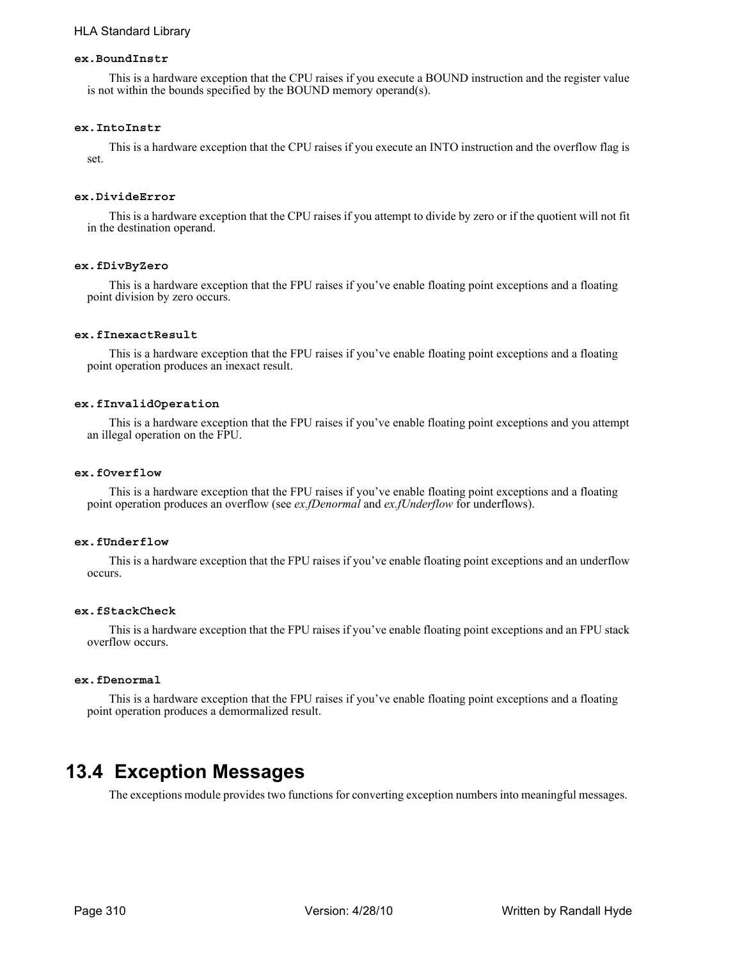## **ex.BoundInstr**

This is a hardware exception that the CPU raises if you execute a BOUND instruction and the register value is not within the bounds specified by the BOUND memory operand(s).

## **ex.IntoInstr**

This is a hardware exception that the CPU raises if you execute an INTO instruction and the overflow flag is set.

## **ex.DivideError**

This is a hardware exception that the CPU raises if you attempt to divide by zero or if the quotient will not fit in the destination operand.

## **ex.fDivByZero**

This is a hardware exception that the FPU raises if you've enable floating point exceptions and a floating point division by zero occurs.

## **ex.fInexactResult**

This is a hardware exception that the FPU raises if you've enable floating point exceptions and a floating point operation produces an inexact result.

## **ex.fInvalidOperation**

This is a hardware exception that the FPU raises if you've enable floating point exceptions and you attempt an illegal operation on the FPU.

## **ex.fOverflow**

This is a hardware exception that the FPU raises if you've enable floating point exceptions and a floating point operation produces an overflow (see *ex.fDenormal* and *ex.fUnderflow* for underflows).

#### **ex.fUnderflow**

This is a hardware exception that the FPU raises if you've enable floating point exceptions and an underflow occurs.

## **ex.fStackCheck**

This is a hardware exception that the FPU raises if you've enable floating point exceptions and an FPU stack overflow occurs.

#### **ex.fDenormal**

This is a hardware exception that the FPU raises if you've enable floating point exceptions and a floating point operation produces a demormalized result.

## **13.4 Exception Messages**

The exceptions module provides two functions for converting exception numbers into meaningful messages.